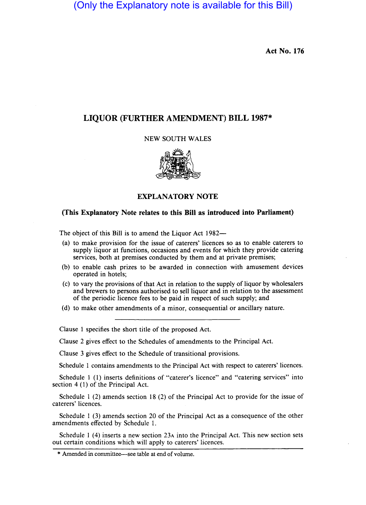(Only the Explanatory note is available for this Bill)

**Act** No. 176

## **LIQUOR (FURTHER AMENDMENT) BILL 1987\***

## NEW SOUTH WALES



## **EXPLANATORY NOTE**

## **(This Explanatory Note relates to this Bill as introduced into Parliament)**

The object of this Bill is to amend the Liquor Act 1982--

- (a) to make provision for the issue of caterers' licences so as to enable caterers to supply liquor at functions, occasions and events for which they provide catering services, both at premises conducted by them and at private premises;
- (b) to enable cash prizes to be awarded in connection with amusement devices operated in hotels;
- (c) to vary the provisions of that Act in relation to the supply of liquor by wholesalers and brewers to persons authorised to sell liquor and in relation to the assessment of the periodic licence fees to be paid in respect of such supply; and
- (d) to make other amendments of a minor, consequential or ancillary nature.

Clause 1 specifies the short title of the proposed Act.

Clause 2 gives effect to the Schedules of amendments to the Principal Act.

Clause 3 gives effect to the Schedule of transitional provisions.

Schedule 1 contains amendments to the Principal Act with respect to caterers' licences.

Schedule 1 (1) inserts definitions of "caterer's licence" and "catering services" into section 4 (1) of the Principal Act.

Schedule 1 (2) amends section 18 (2) of the Principal Act to provide for the issue of caterers' licences.

Schedule 1 (3) amends section 20 of the Principal Act as a consequence of the other amendments effected by Schedule I.

Schedule 1 (4) inserts a new section 23A into the Principal Act. This new section sets out certain conditions which will apply to caterers' licences.

<sup>\*</sup> Amended in committee—see table at end of volume.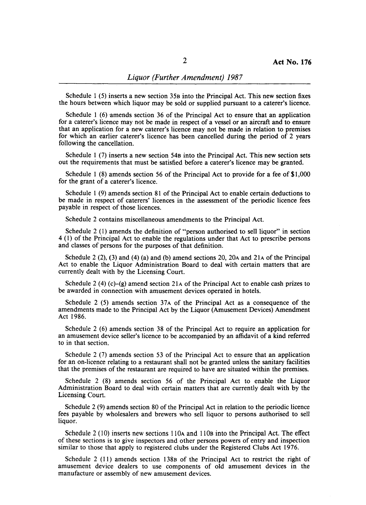Schedule 1 (5) inserts a new section 358 into the Principal Act. This new section fixes the hours between which liquor may be sold or supplied pursuant to a caterer's licence.

Schedule 1  $(6)$  amends section 36 of the Principal Act to ensure that an application for a caterer's licence may not be made in respect of a vessel or an aircraft and to ensure that an application for a new caterer's licence may not be made in relation to premises for which an earlier caterer's licence has been cancelled during the period of 2 years following the cancellation.

Schedule 1 (7) inserts a new section 548 into the Principal Act. This new section sets out the requirements that must be satisfied before a caterer's licence may be granted.

Schedule 1  $(8)$  amends section 56 of the Principal Act to provide for a fee of \$1,000 for the grant of a caterer's licence.

Schedule 1 (9) amends section 81 of the Principal Act to enable certain deductions to be made in respect of caterers' licences in the assessment of the periodic licence fees payable in respect of those licences.

Schedule 2 contains miscellaneous amendments to the Principal Act.

Schedule 2 (I) amends the definition of "person authorised to sell liquor" in section 4 (1) of the Principal Act to enable the regulations under that Act to prescribe persons and classes of persons for the purposes of that definition.

Schedule 2 (2), (3) and (4) (a) and (b) amend sections 20, 20 $\alpha$  and 21 $\alpha$  of the Principal Act to enable the Liquor Administration Board to deal with certain matters that are currently dealt with by the Licensing Court.

Schedule 2 (4) (c)–(g) amend section 21 $\alpha$  of the Principal Act to enable cash prizes to be awarded in connection with amusement devices operated in hotels.

Schedule 2 (5) amends section 37A of the Principal Act as a consequence of the amendments made to the Principal Act by the Liquor (Amusement Devices) Amendment Act 1986.

Schedule 2 (6) amends section 38 of the Principal Act to require an application for an amusement device seller's licence to be accompanied by an affidavit of a kind referred to in that section.

Schedule 2 (7) amends section 53 of the Principal Act to ensure that an application for an on-licence relating to a restaurant shall not be granted unless the sanitary facilities that the premises of the restaurant are required to have are situated within the premises.

Schedule 2 (8) amends section 56 of the Principal Act to enable the Liquor Administration Board to deal with certain matters that are currently dealt with by the Licensing Court.

Schedule 2 (9) amends section 80 of the Principal Act in relation to the periodic licence fees payable by wholesalers and brewers who sell liquor to persons authorised to sell liquor.

Schedule 2 (10) inserts new sections Il0A and 1108 into the Principal Act. The effect of these sections is to give inspectors and other persons powers of entry and inspection similar to those that apply to registered clubs under the Registered Clubs Act 1976.

Schedule 2 (11) amends section 1388 of the Principal Act to restrict the right of amusement device dealers to use components of old amusement devices in the manufacture or assembly of new amusement devices.